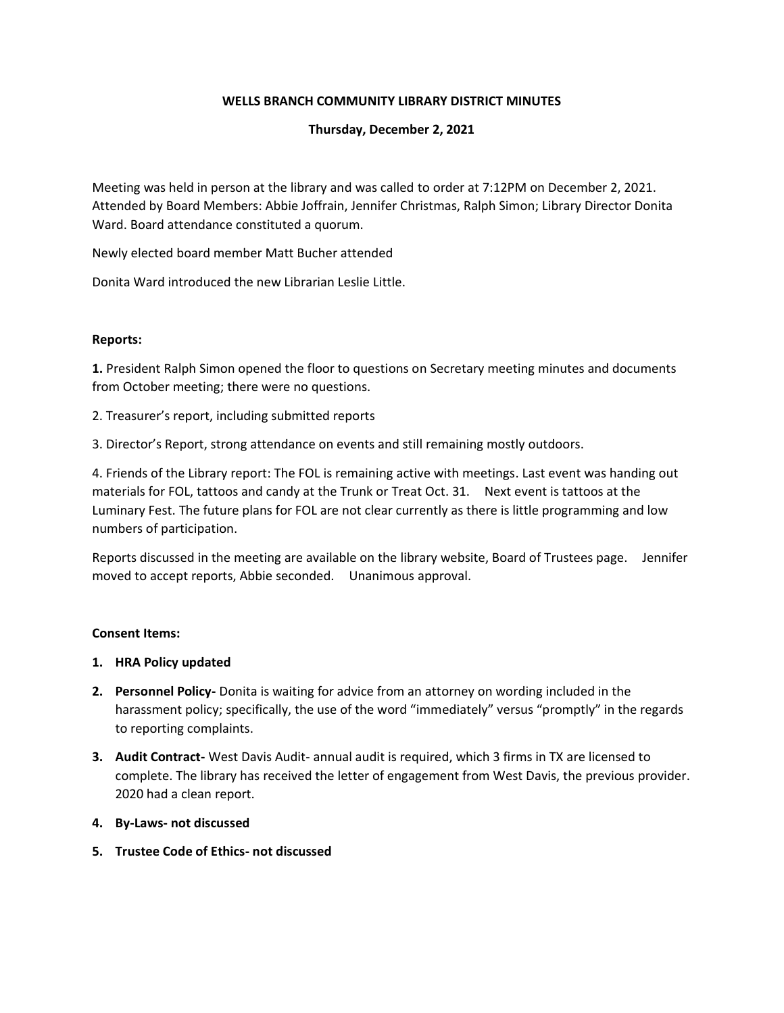# **WELLS BRANCH COMMUNITY LIBRARY DISTRICT MINUTES**

# **Thursday, December 2, 2021**

Meeting was held in person at the library and was called to order at 7:12PM on December 2, 2021. Attended by Board Members: Abbie Joffrain, Jennifer Christmas, Ralph Simon; Library Director Donita Ward. Board attendance constituted a quorum.

Newly elected board member Matt Bucher attended

Donita Ward introduced the new Librarian Leslie Little.

### **Reports:**

**1.** President Ralph Simon opened the floor to questions on Secretary meeting minutes and documents from October meeting; there were no questions.

2. Treasurer's report, including submitted reports

3. Director's Report, strong attendance on events and still remaining mostly outdoors.

4. Friends of the Library report: The FOL is remaining active with meetings. Last event was handing out materials for FOL, tattoos and candy at the Trunk or Treat Oct. 31. Next event is tattoos at the Luminary Fest. The future plans for FOL are not clear currently as there is little programming and low numbers of participation.

Reports discussed in the meeting are available on the library website, Board of Trustees page. Jennifer moved to accept reports, Abbie seconded. Unanimous approval.

### **Consent Items:**

- **1. HRA Policy updated**
- **2. Personnel Policy-** Donita is waiting for advice from an attorney on wording included in the harassment policy; specifically, the use of the word "immediately" versus "promptly" in the regards to reporting complaints.
- **3. Audit Contract-** West Davis Audit- annual audit is required, which 3 firms in TX are licensed to complete. The library has received the letter of engagement from West Davis, the previous provider. 2020 had a clean report.
- **4. By-Laws- not discussed**
- **5. Trustee Code of Ethics- not discussed**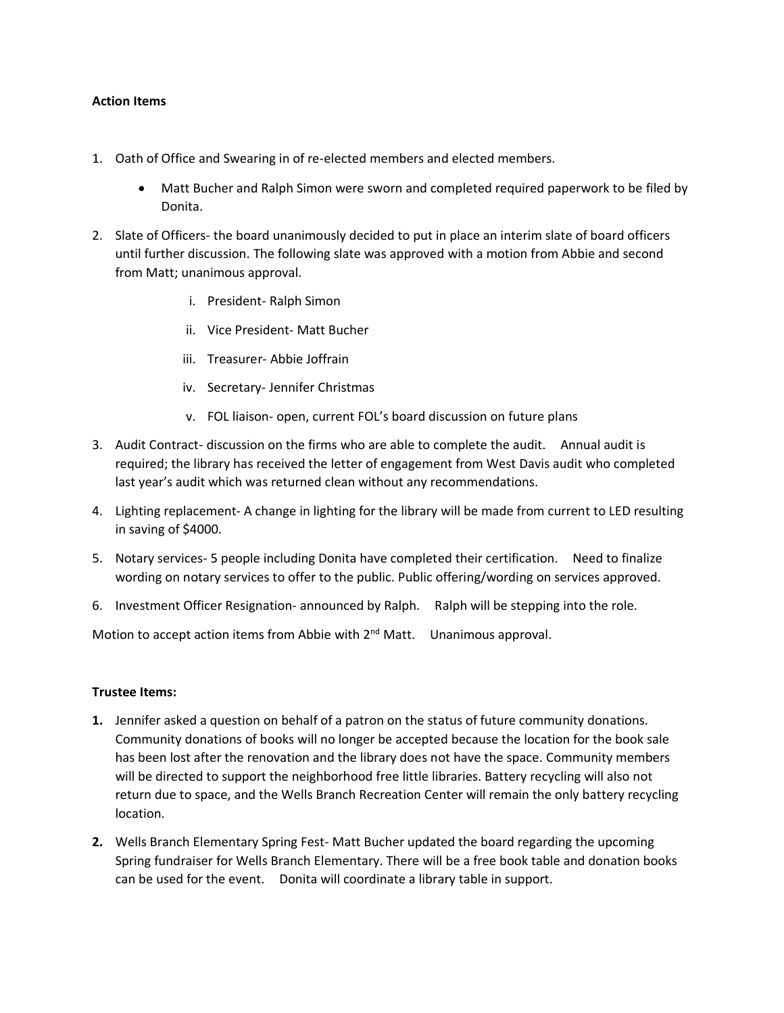#### **Action Items**

- 1. Oath of Office and Swearing in of re-elected members and elected members.
	- Matt Bucher and Ralph Simon were sworn and completed required paperwork to be filed by Donita.
- 2. Slate of Officers- the board unanimously decided to put in place an interim slate of board officers until further discussion. The following slate was approved with a motion from Abbie and second from Matt; unanimous approval.
	- i. President- Ralph Simon
	- ii. Vice President- Matt Bucher
	- iii. Treasurer- Abbie Joffrain
	- iv. Secretary- Jennifer Christmas
	- v. FOL liaison- open, current FOL's board discussion on future plans
- 3. Audit Contract- discussion on the firms who are able to complete the audit. Annual audit is required; the library has received the letter of engagement from West Davis audit who completed last year's audit which was returned clean without any recommendations.
- 4. Lighting replacement- A change in lighting for the library will be made from current to LED resulting in saving of \$4000.
- 5. Notary services- 5 people including Donita have completed their certification. Need to finalize wording on notary services to offer to the public. Public offering/wording on services approved.
- 6. Investment Officer Resignation- announced by Ralph. Ralph will be stepping into the role.

Motion to accept action items from Abbie with  $2<sup>nd</sup>$  Matt. Unanimous approval.

### **Trustee Items:**

- **1.** Jennifer asked a question on behalf of a patron on the status of future community donations. Community donations of books will no longer be accepted because the location for the book sale has been lost after the renovation and the library does not have the space. Community members will be directed to support the neighborhood free little libraries. Battery recycling will also not return due to space, and the Wells Branch Recreation Center will remain the only battery recycling location.
- **2.** Wells Branch Elementary Spring Fest- Matt Bucher updated the board regarding the upcoming Spring fundraiser for Wells Branch Elementary. There will be a free book table and donation books can be used for the event. Donita will coordinate a library table in support.